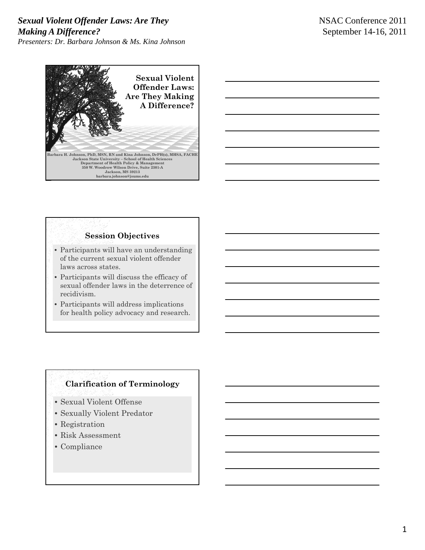#### *Sexual Violent Offender Laws: Are They Making A Difference? Presenters: Dr. Barbara Johnson & Ms. Kina Johnson*



# **Session Objectives**

- Participants will have an understanding of the current sexual violent offender laws across states.
- $\bullet$  Participants will discuss the efficacy of sexual offender laws in the deterrence of recidivism.
- Participants will address implications for health policy advocacy and research.

### **Clarification of Terminology**

- Sexual Violent Offense
- Sexually Violent Predator
- Registration
- Risk Assessment
- Compliance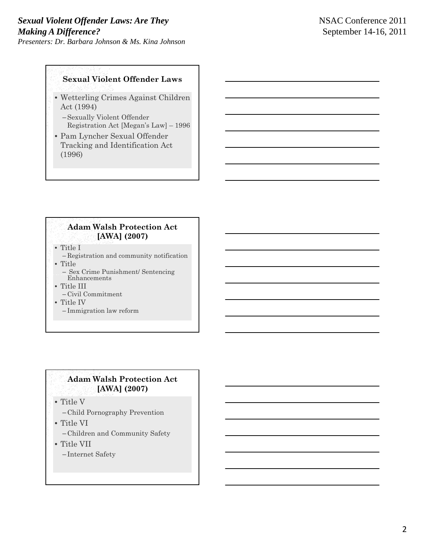#### **Sexual Violent Offender Laws**

- Wetterling Crimes Against Children Act (1994)
	- –Sexually Violent Offender Registration Act [Megan's Law] – 1996
- Pam Lyncher Sexual Offender Tracking and Identification Act (1996)

#### **Adam Walsh Protection Act [AWA] (2007)**

• Title I

– Registration and community notification

- Title – Sex Crime Punishment/ Sentencing Enhancements
- Title III
	- Civil Commitment
- Title IV
	- Immigration law reform

#### **Adam Walsh Protection Act [AWA] (2007)**

• Title V

- Child Pornography Prevention
- Title VI
	- Children and Community Safety
- Title VII

– Internet Safety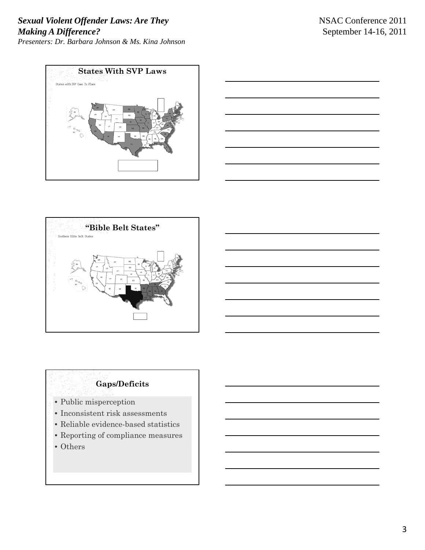





## **Gaps/Deficits**

- Public misperception
- Inconsistent risk assessments
- Reliable evidence-based statistics
- Reporting of compliance measures
- Others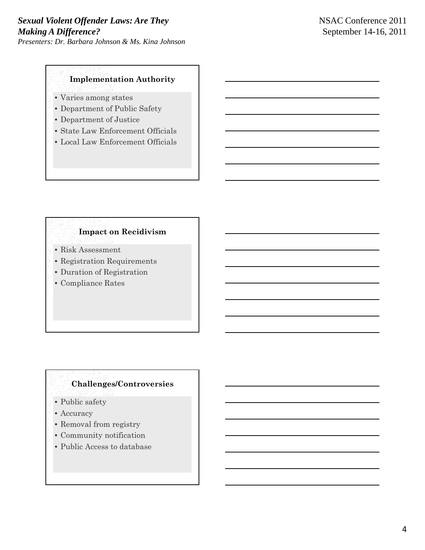#### **Implementation Authority**

- Varies among states
- Department of Public Safety
- Department of Justice
- State Law Enforcement Officials
- Local Law Enforcement Officials

### **Impact on Recidivism**

- Risk Assessment
- Registration Requirements
- Duration of Registration
- Compliance Rates

# **Challenges/Controversies**

- Public safety
- Accuracy
- Removal from registry
- Community notification
- Public Access to database